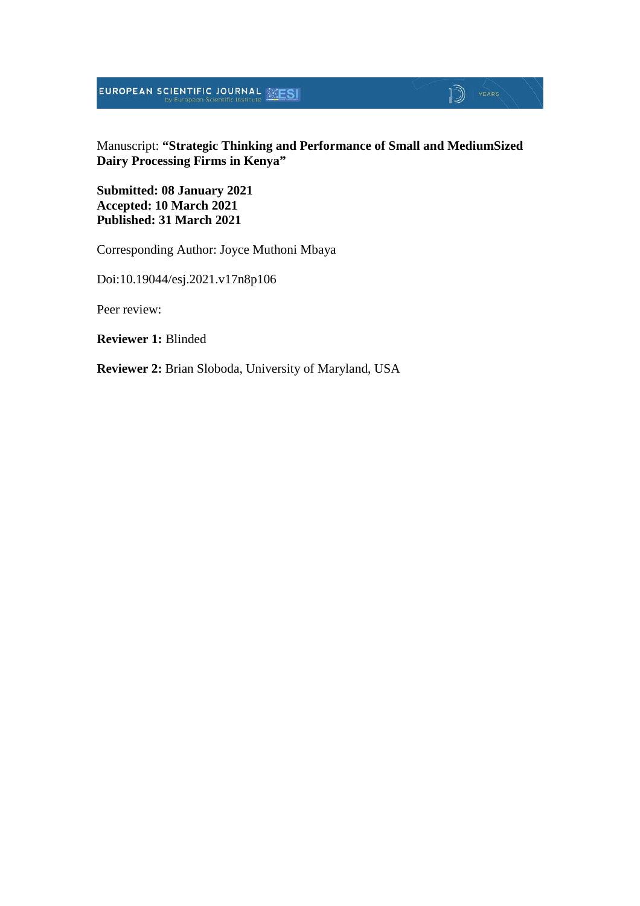**EUROPEAN SCIENTIFIC JOURNAL EXESI** 

## Manuscript: **"Strategic Thinking and Performance of Small and MediumSized Dairy Processing Firms in Kenya"**

 $\mathbb{D}$  YEARS

**Submitted: 08 January 2021 Accepted: 10 March 2021 Published: 31 March 2021**

Corresponding Author: Joyce Muthoni Mbaya

Doi:10.19044/esj.2021.v17n8p106

Peer review:

**Reviewer 1:** Blinded

**Reviewer 2:** Brian Sloboda, University of Maryland, USA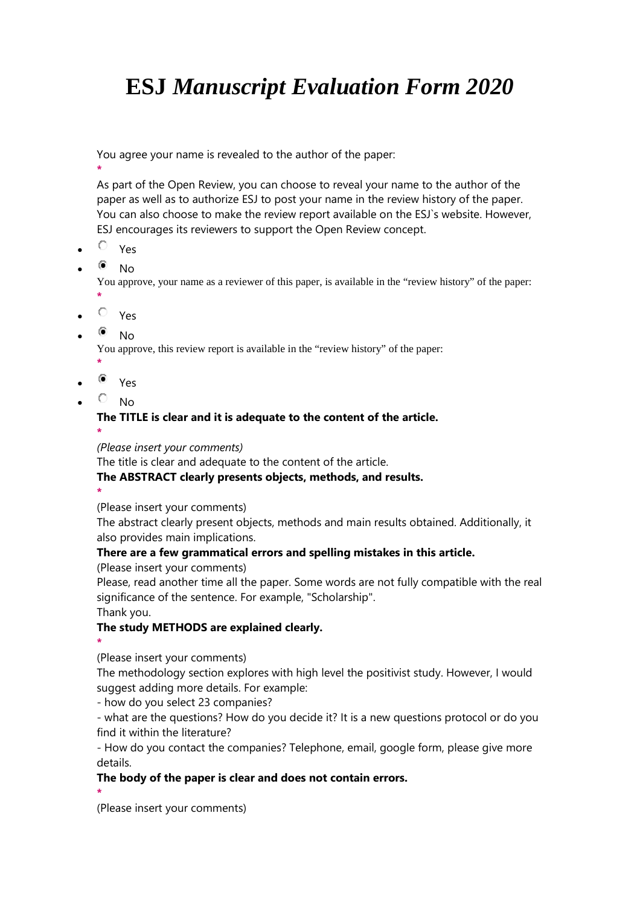# **ESJ** *Manuscript Evaluation Form 2020*

You agree your name is revealed to the author of the paper:

**\*** As part of the Open Review, you can choose to reveal your name to the author of the paper as well as to authorize ESJ to post your name in the review history of the paper. You can also choose to make the review report available on the ESJ`s website. However, ESJ encourages its reviewers to support the Open Review concept.

- $\overline{P}$  Yes
- $\bullet$  No

You approve, your name as a reviewer of this paper, is available in the "review history" of the paper:

 $O$  Yes

**\***

 $^{\circ}$  No

You approve, this review report is available in the "review history" of the paper:

- **\***
- $\bullet$  Yes
- $\overline{\circ}$  No

## **The TITLE is clear and it is adequate to the content of the article.**

**\***

### *(Please insert your comments)*

The title is clear and adequate to the content of the article.

### **The ABSTRACT clearly presents objects, methods, and results.**

**\***

(Please insert your comments)

The abstract clearly present objects, methods and main results obtained. Additionally, it also provides main implications.

### **There are a few grammatical errors and spelling mistakes in this article.**

(Please insert your comments)

Please, read another time all the paper. Some words are not fully compatible with the real significance of the sentence. For example, "Scholarship".

Thank you.

### **The study METHODS are explained clearly.**

**\***

(Please insert your comments)

The methodology section explores with high level the positivist study. However, I would suggest adding more details. For example:

- how do you select 23 companies?

- what are the questions? How do you decide it? It is a new questions protocol or do you find it within the literature?

- How do you contact the companies? Telephone, email, google form, please give more details.

# **The body of the paper is clear and does not contain errors.**

**\***

(Please insert your comments)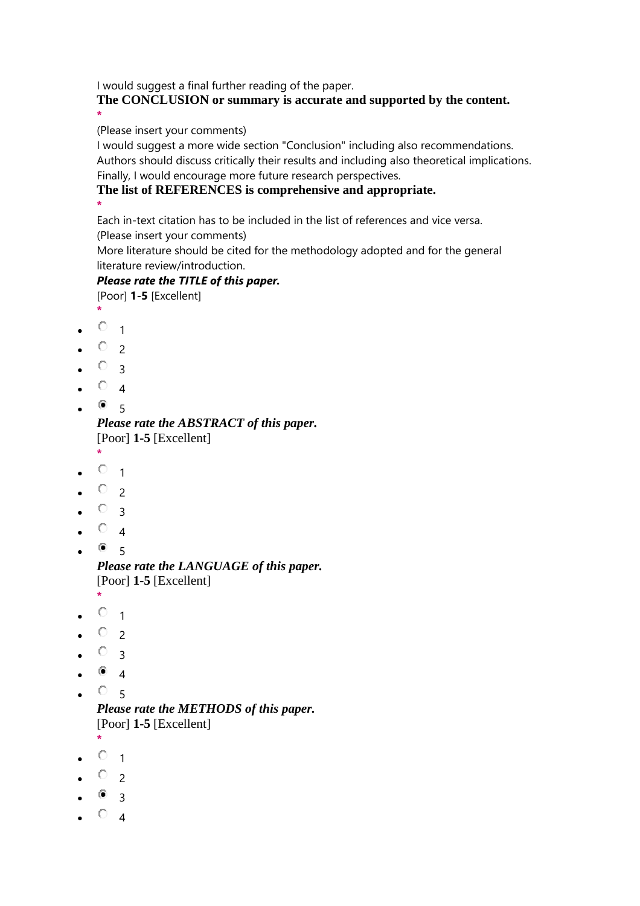I would suggest a final further reading of the paper.

**The CONCLUSION or summary is accurate and supported by the content. \***

(Please insert your comments)

I would suggest a more wide section "Conclusion" including also recommendations. Authors should discuss critically their results and including also theoretical implications. Finally, I would encourage more future research perspectives.

# **The list of REFERENCES is comprehensive and appropriate.**

**\***

Each in-text citation has to be included in the list of references and vice versa.

(Please insert your comments)

More literature should be cited for the methodology adopted and for the general literature review/introduction.

# *Please rate the TITLE of this paper.*

[Poor] **1-5** [Excellent]

- **\***
- $\bullet$   $\vee$  1
- $\circ$  2
- $\circ$  3
- $\circ$  4
- $\bullet$  5

*Please rate the ABSTRACT of this paper.* [Poor] **1-5** [Excellent]

- **\***
- $\circ$  1
- $O_{2}$
- $\circ$  3
- $\circ$  4
- $\bullet$  5

*Please rate the LANGUAGE of this paper.* [Poor] **1-5** [Excellent]

- **\***  $\circ$  1
- $\circ$  2
- $\circ$  3
- $^{\circ}$  4
- $\cdot$   $\circ$  5 *Please rate the METHODS of this paper.* [Poor] **1-5** [Excellent]
- **\***  $\circ$  1
- $\circ$  2
- $\bullet$  3
- $\circ$  4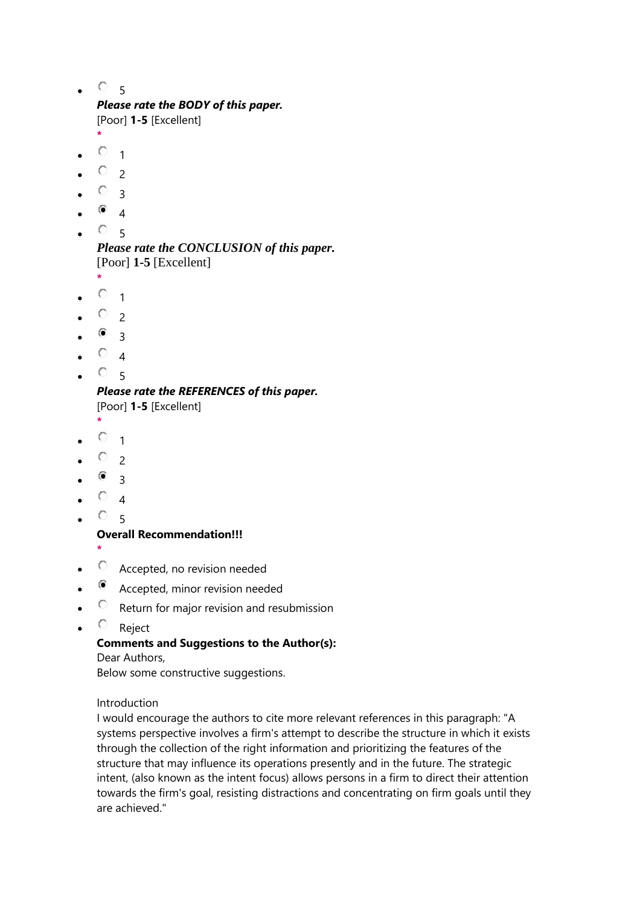$\cdot$   $\circ$  5

# *Please rate the BODY of this paper.*

[Poor] **1-5** [Excellent]

- **\***  $\bullet$   $\vee$  1
- $\circ$  2
- $\circ$  3
- $^{\circ}$  4
- $O_{5}$

*Please rate the CONCLUSION of this paper.* [Poor] **1-5** [Excellent]

- **\***  $^{\circ}$  1
- $\circ$  2
- $^{\circ}$  3
- 
- $\circ$  4
- 5

#### *Please rate the REFERENCES of this paper.* [Poor] **1-5** [Excellent]

- **\***
- $\bullet$   $\vee$  1
- $\circ$  2
- $\bullet$  3
- $\bullet$   $\vee$  4
- $^{\circ}$  5

### **Overall Recommendation!!!**

- **\***
- $\circ$  Accepted, no revision needed
- Accepted, minor revision needed
- $\circ$  Return for major revision and resubmission
- $\circ$  Reject

### **Comments and Suggestions to the Author(s):**

Dear Authors, Below some constructive suggestions.

#### Introduction

I would encourage the authors to cite more relevant references in this paragraph: "A systems perspective involves a firm's attempt to describe the structure in which it exists through the collection of the right information and prioritizing the features of the structure that may influence its operations presently and in the future. The strategic intent, (also known as the intent focus) allows persons in a firm to direct their attention towards the firm's goal, resisting distractions and concentrating on firm goals until they are achieved."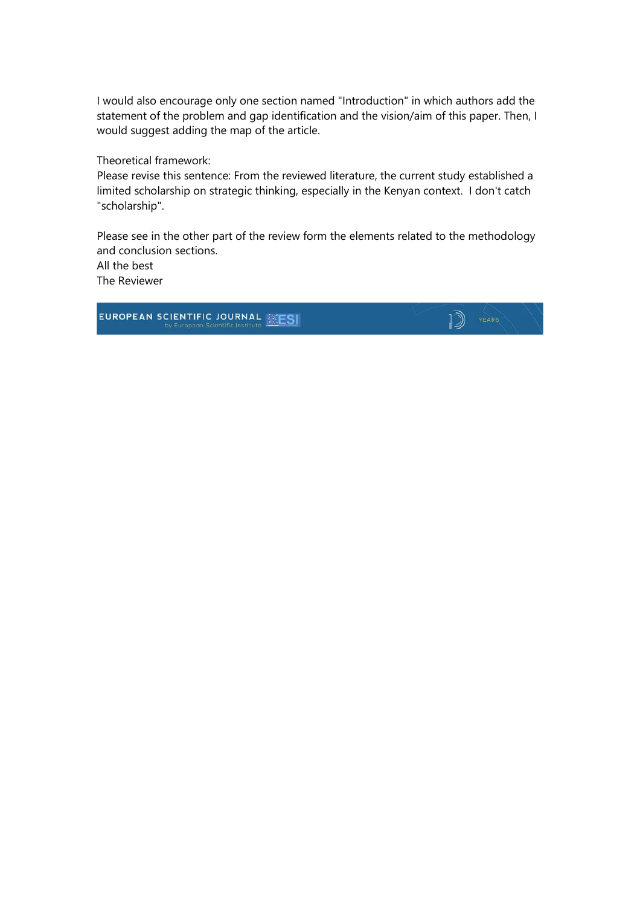I would also encourage only one section named "Introduction" in which authors add the statement of the problem and gap identification and the vision/aim of this paper. Then, I would suggest adding the map of the article.

Theoretical framework:

Please revise this sentence: From the reviewed literature, the current study established a limited scholarship on strategic thinking, especially in the Kenyan context. I don't catch "scholarship".

Please see in the other part of the review form the elements related to the methodology and conclusion sections.

 $\mathbb{D}$  YEARS

All the best The Reviewer

**EUROPEAN SCIENTIFIC JOURNAL WEST**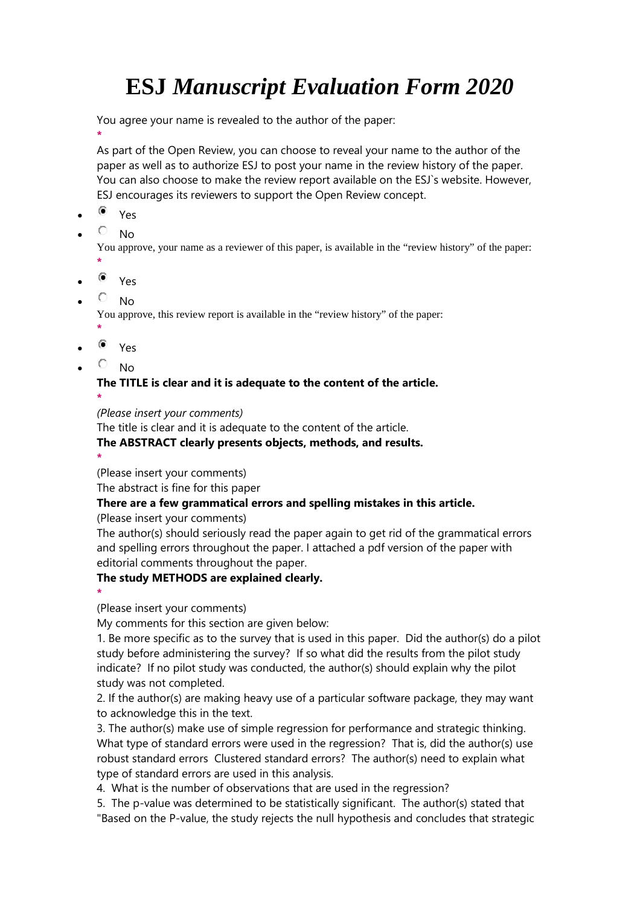# **ESJ** *Manuscript Evaluation Form 2020*

You agree your name is revealed to the author of the paper:

**\*** As part of the Open Review, you can choose to reveal your name to the author of the paper as well as to authorize ESJ to post your name in the review history of the paper. You can also choose to make the review report available on the ESJ`s website. However, ESJ encourages its reviewers to support the Open Review concept.

- $\bullet$  Yes
- $\overline{\circ}$  No

You approve, your name as a reviewer of this paper, is available in the "review history" of the paper:

- **\***
- $\bullet$  Yes
- $\overline{P}$  No

You approve, this review report is available in the "review history" of the paper:

- **\***  $\bullet$  Yes
- $\overline{\circ}$  No

**The TITLE is clear and it is adequate to the content of the article. \***

*(Please insert your comments)*

The title is clear and it is adequate to the content of the article.

### **The ABSTRACT clearly presents objects, methods, and results.**

**\*** (Please insert your comments)

The abstract is fine for this paper

### **There are a few grammatical errors and spelling mistakes in this article.**

### (Please insert your comments)

The author(s) should seriously read the paper again to get rid of the grammatical errors and spelling errors throughout the paper. I attached a pdf version of the paper with editorial comments throughout the paper.

### **The study METHODS are explained clearly.**

**\***

(Please insert your comments)

My comments for this section are given below:

1. Be more specific as to the survey that is used in this paper. Did the author(s) do a pilot study before administering the survey? If so what did the results from the pilot study indicate? If no pilot study was conducted, the author(s) should explain why the pilot study was not completed.

2. If the author(s) are making heavy use of a particular software package, they may want to acknowledge this in the text.

3. The author(s) make use of simple regression for performance and strategic thinking. What type of standard errors were used in the regression? That is, did the author(s) use robust standard errors Clustered standard errors? The author(s) need to explain what type of standard errors are used in this analysis.

4. What is the number of observations that are used in the regression?

5. The p-value was determined to be statistically significant. The author(s) stated that "Based on the P-value, the study rejects the null hypothesis and concludes that strategic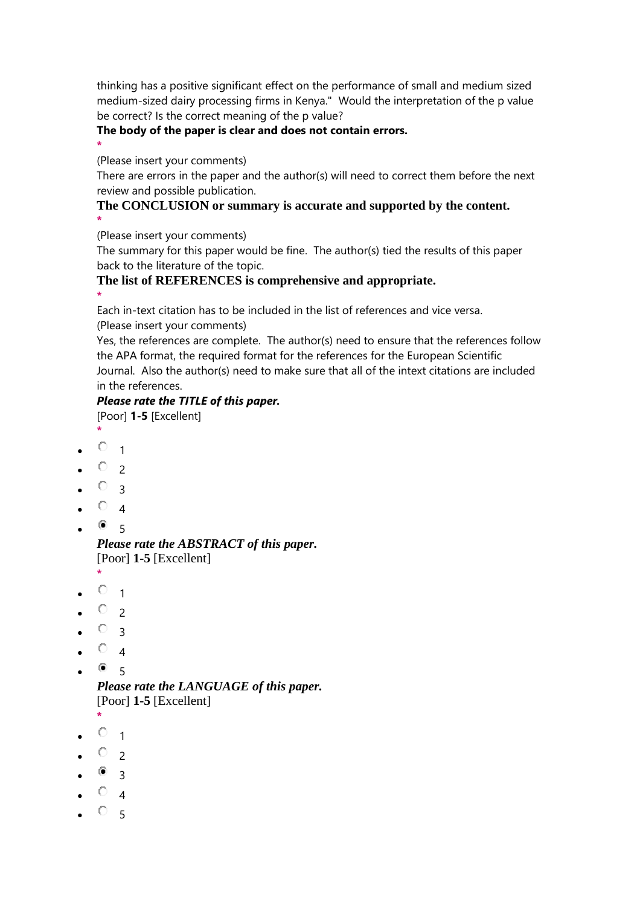thinking has a positive significant effect on the performance of small and medium sized medium-sized dairy processing firms in Kenya." Would the interpretation of the p value be correct? Is the correct meaning of the p value?

### **The body of the paper is clear and does not contain errors.**

**\*** (Please insert your comments)

There are errors in the paper and the author(s) will need to correct them before the next review and possible publication.

### **The CONCLUSION or summary is accurate and supported by the content. \***

(Please insert your comments)

The summary for this paper would be fine. The author(s) tied the results of this paper back to the literature of the topic.

### **The list of REFERENCES is comprehensive and appropriate.**

**\*** Each in-text citation has to be included in the list of references and vice versa.

(Please insert your comments)

Yes, the references are complete. The author(s) need to ensure that the references follow the APA format, the required format for the references for the European Scientific Journal. Also the author(s) need to make sure that all of the intext citations are included in the references.

### *Please rate the TITLE of this paper.*

[Poor] **1-5** [Excellent]

- **\***  $\circ$  1
- 
- $\circ$  2
- $\circ$  3
- $\circ$  4
- $\bullet$  5

### *Please rate the ABSTRACT of this paper.* [Poor] **1-5** [Excellent]

- **\***
- $\circ$  1
- $\circ$  2
- $\circ$  3
- $\circ$  4
- $\bullet$  5

*Please rate the LANGUAGE of this paper.* [Poor] **1-5** [Excellent]

- **\***
- $\circ$  1
- $\circ$  2
- $\bullet$  3
- $\circ$  4
- $\circ$  5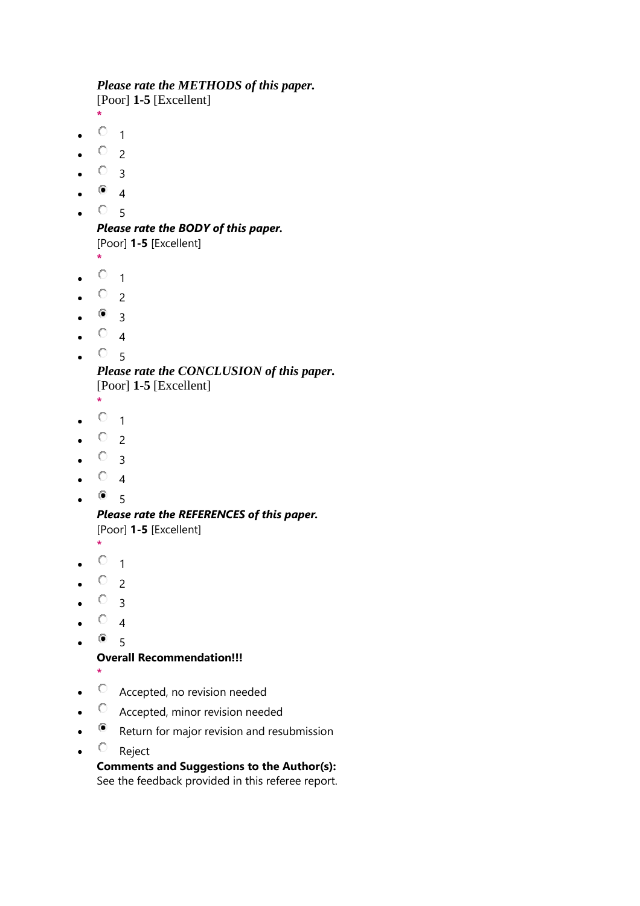# *Please rate the METHODS of this paper.*

[Poor] **1-5** [Excellent]

- **\***
- $\circ$  1
- $O_{2}$
- $\circ$  3
- $^{\circ}$  4
- $\circ$  5

*Please rate the BODY of this paper.* [Poor] **1-5** [Excellent]

**\***

- $\circ$  1
- $\circ$  2
- $\bullet$  3
- $\circ$  4
- $\cdot$   $\circ$  5

*Please rate the CONCLUSION of this paper.* [Poor] **1-5** [Excellent]

- **\***
- $\circ$  1
- $\circ$  2
- $\circ$  3
- $\circ$  4
- $^{\circ}$  5

*Please rate the REFERENCES of this paper.* [Poor] **1-5** [Excellent]

- **\***
- $\circ$  1
- $\circ$  2
- $\circ$  3
- $\circ$  4
- $^{\circ}$  5

## **Overall Recommendation!!!**

- **\***
- $\circ$  Accepted, no revision needed
- $\circ$  Accepted, minor revision needed
- Return for major revision and resubmission
- $\circ$  Reject

# **Comments and Suggestions to the Author(s):**

See the feedback provided in this referee report.